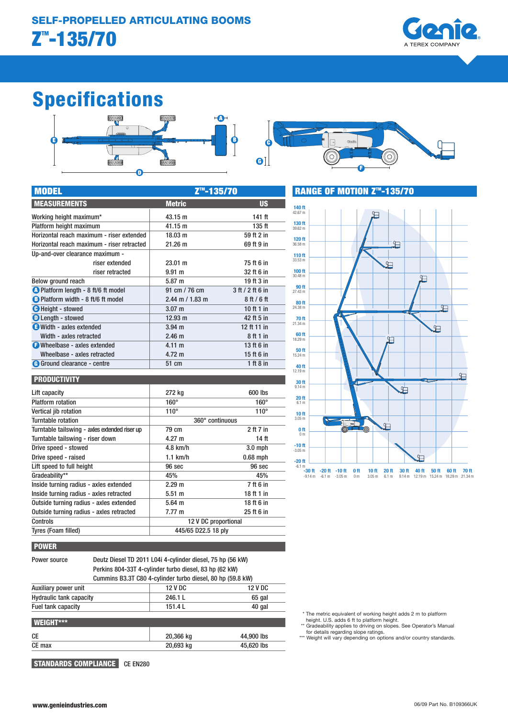

# Specifications



| <b>MODEL</b>                               | <u>Z™-135/70</u>    |                  |
|--------------------------------------------|---------------------|------------------|
| <b>MEASUREMENTS</b>                        | <b>Metric</b>       | <b>US</b>        |
| Working height maximum*                    | 43.15 m             | 141 ft           |
| Platform height maximum                    | 41.15 m             | 135 ft           |
| Horizontal reach maximum - riser extended  | 18.03 m             | 59 ft 2 in       |
| Horizontal reach maximum - riser retracted | 21.26 m             | 69 ft 9 in       |
| Up-and-over clearance maximum -            |                     |                  |
| riser extended                             | 23.01 m             | 75 ft 6 in       |
| riser retracted                            | 9.91 m              | 32 ft 6 in       |
| Below ground reach                         | 5.87 m              | 19 ft 3 in       |
| C Platform length - 8 ft/6 ft model        | 91 cm / 76 cm       | 3 ft / 2 ft 6 in |
| B Platform width - 8 ft/6 ft model         | $2.44$ m $/ 1.83$ m | 8ft/6ft          |
| <b>C</b> Height - stowed                   | 3.07 <sub>m</sub>   | 10 ft 1 in       |
| <b>D</b> Length - stowed                   | 12.93 m             | 42 ft 5 in       |
| Width - axles extended                     | $3.94$ m            | 12 ft 11 in      |
| Width - axles retracted                    | 2.46 <sub>m</sub>   | 8 ft 1 in        |
| <b>O</b> Wheelbase - axles extended        | 4.11 m              | 13 ft 6 in       |
| Wheelbase - axles retracted                | $4.72 \text{ m}$    | 15 ft 6 in       |
| G Ground clearance - centre                | 51 cm               | 1 ft $8$ in      |

#### PRODUCTIVITY

POWER

WEIGHT\*\*\*

| Lift capacity                                 | 272 kg               | 600 lbs       |
|-----------------------------------------------|----------------------|---------------|
| <b>Platform rotation</b>                      | $160^\circ$          | $160^\circ$   |
| Vertical jib rotation                         | $110^\circ$          | $110^{\circ}$ |
| Turntable rotation                            | 360° continuous      |               |
| Turntable tailswing - axles extended riser up | 79 cm                | 2 ft 7 in     |
| Turntable tailswing - riser down              | $4.27 \; m$          | 14 ft         |
| Drive speed - stowed                          | 4.8 km/h             | $3.0$ mph     |
| Drive speed - raised                          | $1.1$ km/h           | $0.68$ mph    |
| Lift speed to full height                     | 96 sec               | 96 sec        |
| Gradeability**                                | 45%                  | 45%           |
| Inside turning radius - axles extended        | 2.29 m               | 7 ft 6 in     |
| Inside turning radius - axles retracted       | $5.51 \; m$          | 18 ft 1 in    |
| Outside turning radius - axles extended       | $5.64 \; m$          | 18 ft 6 in    |
| Outside turning radius - axles retracted      | 7.77 m               | 25 ft 6 in    |
| Controls                                      | 12 V DC proportional |               |
| <b>Tyres (Foam filled)</b>                    | 445/65 D22.5 18 ply  |               |
|                                               |                      |               |

Power source Deutz Diesel TD 2011 L04i 4-cylinder diesel, 75 hp (56 kW)

Hydraulic tank capacity 246.1 L 65 gal Fuel tank capacity and the 151.4 L 40 gal

CE 20,366 kg 44,900 lbs CE max 20,693 kg 45,620 lbs

Perkins 804-33T 4-cylinder turbo diesel, 83 hp (62 kW)

Cummins B3.3T C80 4-cylinder turbo diesel, 80 hp (59.8 kW)



RANGE OF MOTION Z<sup>TM</sup>-135/70

\* The metric equivalent of working height adds 2 m to platform

- height. U.S. adds 6 ft to platform height. \*\* Gradeability applies to driving on slopes. See Operator's Manual for details regarding slope ratings.
- \*\*\* Weight will vary depending on options and/or country standards.

STANDARDS COMPLIANCE CE EN280

Auxiliary power unit 12 V DC

www.genieindustries.com